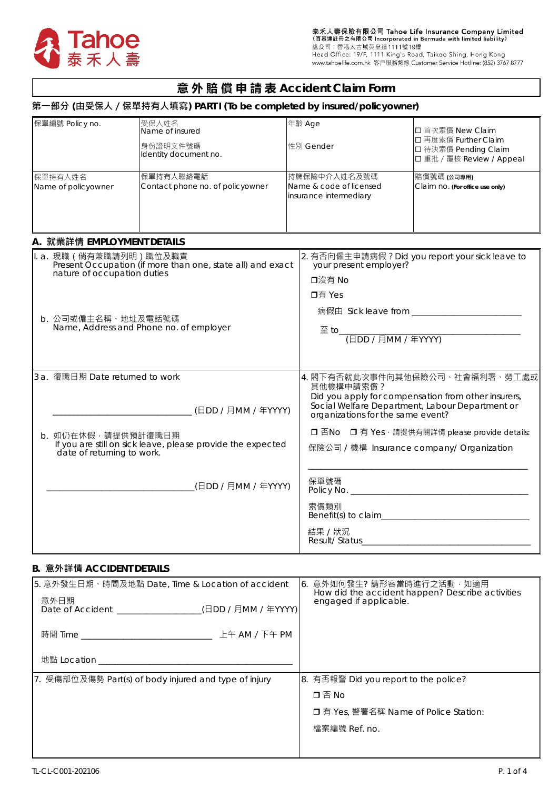

# **意 外 賠 償 申 請 表 Accident Claim Form**

# **第一部分 (由受保人/保單持有人填寫) PART I (To be completed by insured/policyowner)**

| 保單編號 Policy no.                                                                                                     | 受保人姓名<br>Name of insured<br>身份證明文件號碼<br>Identity document no. |                                                                                                               | 年齡 Age<br>性別 Gender                                                                                                                                                                        | □ 首次索償 New Claim<br>□ 再度索償 Further Claim<br>□ 待決索償 Pending Claim<br>□ 重批 / 覆核 Review / Appeal |  |  |  |  |  |  |  |
|---------------------------------------------------------------------------------------------------------------------|---------------------------------------------------------------|---------------------------------------------------------------------------------------------------------------|--------------------------------------------------------------------------------------------------------------------------------------------------------------------------------------------|-----------------------------------------------------------------------------------------------|--|--|--|--|--|--|--|
| 保單持有人姓名<br>Name of policyowner                                                                                      | 保單持有人聯絡電話<br>Contact phone no. of policyowner                 |                                                                                                               | 持牌保險中介人姓名及號碼<br>Name & code of licensed<br>insurance intermediary                                                                                                                          | 賠償號碼 (公司專用)<br>Claim no. (For office use only)                                                |  |  |  |  |  |  |  |
| A. 就業詳情 EMPLOYMENT DETAILS                                                                                          |                                                               |                                                                                                               |                                                                                                                                                                                            |                                                                                               |  |  |  |  |  |  |  |
| ∥. a. 現職(倘有兼職請列明)職位及職責<br>Present Occupation (if more than one, state all) and exact<br>nature of occupation duties |                                                               |                                                                                                               | 2. 有否向僱主申請病假? Did you report your sick leave to<br>your present employer?<br>口沒有 No                                                                                                        |                                                                                               |  |  |  |  |  |  |  |
| b. 公司或僱主名稱、地址及電話號碼                                                                                                  | Name, Address and Phone no. of employer                       | 口有 Yes<br>$\frac{1}{2}$ to $\frac{1}{\left(\frac{1}{2} \text{D}D / \text{HMM} / \text{F} \text{YYYY}\right)}$ |                                                                                                                                                                                            |                                                                                               |  |  |  |  |  |  |  |
| 3 a. 復職日期 Date returned to work<br>(日DD / 月MM / 年YYYY)                                                              |                                                               |                                                                                                               | 4. 閣下有否就此次事件向其他保險公司、社會福利署、勞工處或<br>其他機構申請索償?<br>Did you apply for compensation from other insurers,<br>Social Welfare Department, Labour Department or<br>organizations for the same event? |                                                                                               |  |  |  |  |  |  |  |
| b. 如仍在休假,請提供預計復職日期<br>date of returning to work.                                                                    | If you are still on sick leave, please provide the expected   |                                                                                                               | □ 否No □ 有 Yes, 請提供有關詳情 please provide details:<br>保險公司 / 機構 Insurance company/ Organization                                                                                                |                                                                                               |  |  |  |  |  |  |  |
|                                                                                                                     | (日DD / 月MM / 年YYYY)                                           |                                                                                                               | 保單號碼                                                                                                                                                                                       |                                                                                               |  |  |  |  |  |  |  |
|                                                                                                                     |                                                               |                                                                                                               | 索償類別<br>結果 / 狀況                                                                                                                                                                            |                                                                                               |  |  |  |  |  |  |  |

## **B. 意外詳情 ACCIDENT DETAILS**

| 5. 意外發生日期、時間及地點 Date, Time & Location of accident<br>意外日期<br>Date of Accident ________________(日DD / 月MM / 年YYYY) | 6.意外如何發生?請形容當時進行之活動,如適用<br>How did the accident happen? Describe activities<br>engaged if applicable. |
|-------------------------------------------------------------------------------------------------------------------|-------------------------------------------------------------------------------------------------------|
|                                                                                                                   |                                                                                                       |
| 地點 Location スペット しゅうしょう しんしょう しんしょう                                                                               |                                                                                                       |
| Ⅱ. 受傷部位及傷勢 Part(s) of body injured and type of injury                                                             | 8. 有否報警 Did you report to the police?                                                                 |
|                                                                                                                   | 口否No                                                                                                  |
|                                                                                                                   | □ 有 Yes, 警署名稱 Name of Police Station:                                                                 |
|                                                                                                                   | 檔案編號 Ref. no.                                                                                         |
|                                                                                                                   |                                                                                                       |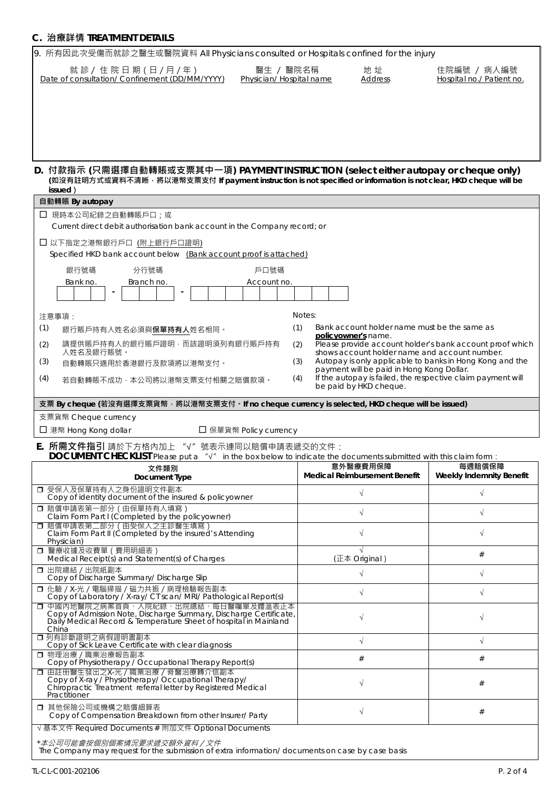# **C. 治療詳情 TREATMENT DETAILS**

| 9. 所有因此次受傷而就診之醫生或醫院資料 All Physicians consulted or Hospitals confined for the injury                                                                                                                                |                                                                            |                                                          |  |  |  |  |  |  |  |  |
|--------------------------------------------------------------------------------------------------------------------------------------------------------------------------------------------------------------------|----------------------------------------------------------------------------|----------------------------------------------------------|--|--|--|--|--|--|--|--|
| 就 診 / 住 院 日 期 (日 / 月 / 年)<br>醫生 / 醫院名稱<br>Date of consultation/ Confinement (DD/MM/YYYY)<br>Physician/ Hospital name                                                                                               | 地址<br><b>Address</b>                                                       | 住院編號 / 病人編號<br>Hospital no./ Patient no.                 |  |  |  |  |  |  |  |  |
|                                                                                                                                                                                                                    |                                                                            |                                                          |  |  |  |  |  |  |  |  |
| D. 付款指示 (只需選擇自動轉賬或支票其中一項) PAYMENT INSTRUCTION (select either autopay or cheque only)<br>(如沒有註明方式或資料不清晰,將以港幣支票支付 If payment instruction is not specified or information is not clear, HKD cheque will be<br>issued) |                                                                            |                                                          |  |  |  |  |  |  |  |  |
| 自動轉賬 By autopay                                                                                                                                                                                                    |                                                                            |                                                          |  |  |  |  |  |  |  |  |
| □ 現時本公司紀錄之自動轉賬戶口;或<br>Current direct debit authorisation bank account in the Company record; or                                                                                                                    |                                                                            |                                                          |  |  |  |  |  |  |  |  |
| □ 以下指定之港幣銀行戶口 (附上銀行戶口證明)<br>Specified HKD bank account below (Bank account proof is attached)                                                                                                                      |                                                                            |                                                          |  |  |  |  |  |  |  |  |
| 分行號碼<br>銀行號碼<br>戶口號碼                                                                                                                                                                                               |                                                                            |                                                          |  |  |  |  |  |  |  |  |
| Branch no.<br>Bank no.<br>Account no.                                                                                                                                                                              |                                                                            |                                                          |  |  |  |  |  |  |  |  |
|                                                                                                                                                                                                                    |                                                                            |                                                          |  |  |  |  |  |  |  |  |
| 注意事項:                                                                                                                                                                                                              | Notes:                                                                     |                                                          |  |  |  |  |  |  |  |  |
| (1)<br>銀行賬戶持有人姓名必須與 <b>保單持有人</b> 姓名相同。                                                                                                                                                                             | Bank account holder name must be the same as<br>(1)<br>policyowner's name. |                                                          |  |  |  |  |  |  |  |  |
| 請提供賬戶持有人的銀行賬戶證明,而該證明須列有銀行賬戶持有<br>(2)<br>人姓名及銀行賬號。                                                                                                                                                                  | (2)<br>shows account holder name and account number.                       | Please provide account holder's bank account proof which |  |  |  |  |  |  |  |  |
| (3)<br>自動轉賬只適用於香港銀行及款項將以港幣支付。                                                                                                                                                                                      | (3)                                                                        | Autopay is only applicable to banks in Hong Kong and the |  |  |  |  |  |  |  |  |
| payment will be paid in Hong Kong Dollar.<br>If the autopay is failed, the respective claim payment will<br>(4)<br>(4)<br>若自動轉賬不成功,本公司將以港幣支票支付相關之賠償款項。<br>be paid by HKD cheque.                                   |                                                                            |                                                          |  |  |  |  |  |  |  |  |
| 支票 By cheque (若沒有選擇支票貨幣, 將以港幣支票支付。If no cheque currency is selected, HKD cheque will be issued)                                                                                                                    |                                                                            |                                                          |  |  |  |  |  |  |  |  |
| 支票貨幣 Cheque currency                                                                                                                                                                                               |                                                                            |                                                          |  |  |  |  |  |  |  |  |
| □ 港幣 Hong Kong dollar<br>□ 保單貨幣 Policy currency                                                                                                                                                                    |                                                                            |                                                          |  |  |  |  |  |  |  |  |
| E. 所需文件指引 請於下方格內加上 "√" 號表示連同以賠償申請表遞交的文件:<br>DOCUMENT CHECKLIST Please put a " $\sqrt{ }$ " in the box below to indicate the documents submitted with this claim form :                                             |                                                                            |                                                          |  |  |  |  |  |  |  |  |
| 文件類別<br>Document Type                                                                                                                                                                                              | 意外醫療費用保障<br>Medical Reimbursement Benefit                                  | 每週賠償保障<br>Weekly Indemnity Benefit                       |  |  |  |  |  |  |  |  |
| □ 受保人及保單持有人之身份證明文件副本<br>Copy of identity document of the insured & policyowner                                                                                                                                     | $\sqrt{}$                                                                  | $\sqrt{}$                                                |  |  |  |  |  |  |  |  |
| □ 賠償申請表第一部分 (由保單持有人填寫)<br>Claim Form Part I (Completed by the policyowner)<br>□ 賠償申請表第二部分(由受保人之主診醫生填寫)                                                                                                             | $\sqrt{}$                                                                  | $\sqrt{}$                                                |  |  |  |  |  |  |  |  |
| Claim Form Part II (Completed by the insured's Attending<br>Physician)<br>□ 醫療收據及收費單 (費用明細表)                                                                                                                       |                                                                            | $\sqrt{}$                                                |  |  |  |  |  |  |  |  |
| Medical Receipt(s) and Statement(s) of Charges                                                                                                                                                                     | (正本 Original)                                                              | $^{\#}$                                                  |  |  |  |  |  |  |  |  |
| □ 出院總結 / 出院紙副本<br>Copy of Discharge Summary/ Discharge Slip                                                                                                                                                        | $\sqrt{}$                                                                  | $\sqrt{}$                                                |  |  |  |  |  |  |  |  |
| □ 化驗 / X-光 / 電腦掃描 / 磁力共振 / 病理檢驗報告副本<br>Copy of Laboratory / X-ray/ CT scan/ MRI/ Pathological Report(s)<br>□ 中國内地醫院之病案首頁、入院紀錄、出院總結、每日醫囑單及體溫表正本                                                                     | $\sqrt{}$                                                                  | $\sqrt{ }$                                               |  |  |  |  |  |  |  |  |
| Copy of Admission Note, Discharge Summary, Discharge Certificate,<br>Daily Medical Record & Temperature Sheet of hospital in Mainland<br>China                                                                     | $\sqrt{}$                                                                  |                                                          |  |  |  |  |  |  |  |  |
| □ 列有診斷證明之病假證明書副本<br>Copy of Sick Leave Certificate with clear diagnosis                                                                                                                                            | $\sqrt{}$                                                                  | $\sqrt{}$                                                |  |  |  |  |  |  |  |  |
| □ 物理治療 / 職業治療報告副本<br>Copy of Physiotherapy / Occupational Therapy Report(s)                                                                                                                                        | #                                                                          | #                                                        |  |  |  |  |  |  |  |  |
| □ 由註冊醫生發出之X-光 / 職業治療 / 脊醫治療轉介信副本<br>Copy of X-ray / Physiotherapy/ Occupational Therapy/<br>Chiropractic Treatment referral letter by Registered Medical<br>Practitioner                                           | $\sqrt{}$                                                                  | #                                                        |  |  |  |  |  |  |  |  |
| □ 其他保險公司或機構之賠償細算表<br>Copy of Compensation Breakdown from other Insurer/ Party                                                                                                                                      | $\sqrt{}$                                                                  | $^{\#}$                                                  |  |  |  |  |  |  |  |  |
| √ 基本文件 Required Documents # 附加文件 Optional Documents<br>*本公司可能會按個別個案情況要求遞交額外資料/文件<br>The Company may request for the submission of extra information/documents on case by case basis                                |                                                                            |                                                          |  |  |  |  |  |  |  |  |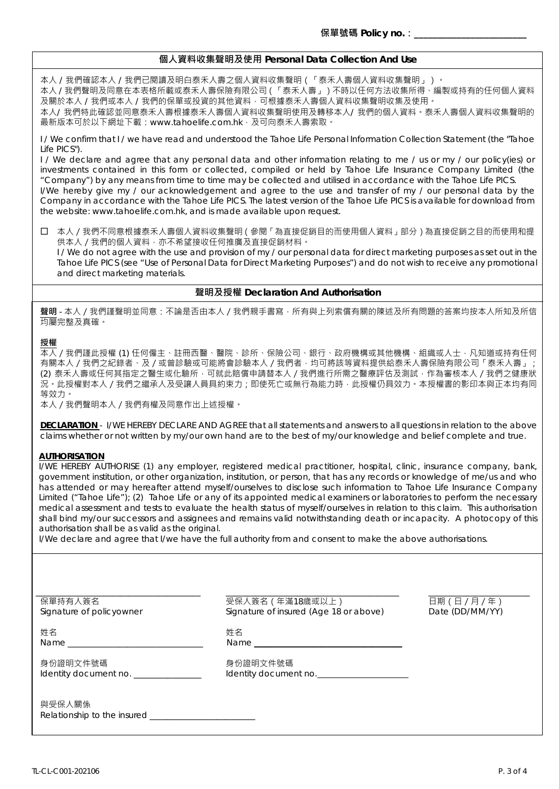## **個人資料收集聲明及使用 Personal Data Collection And Use**

本人 / 我們確認本人 / 我們已閱讀及明白泰禾人壽之個人資料收集聲明(「泰禾人壽個人資料收集聲明」)。

本人 / 我們聲明及同意在本表格所載或泰禾人壽保險有限公司(「泰禾人壽」)不時以任何方法收集所得、編製或持有的任何個人資料 及關於本人 / 我們或本人 / 我們的保單或投資的其他資料,可根據泰禾人壽個人資料收集聲明收集及使用。

本人/ 我們特此確認並同意泰禾人壽根據泰禾人壽個人資料收集聲明使用及轉移本人/ 我們的個人資料。泰禾人壽個人資料收集聲明的 最新版本可於以下網址下載:www.tahoelife.com.hk,及可向泰禾人壽索取。

I / We confirm that I / we have read and understood the Tahoe Life Personal Information Collection Statement (the "Tahoe Life PICS").

I / We declare and agree that any personal data and other information relating to me / us or my / our policy(ies) or investments contained in this form or collected, compiled or held by Tahoe Life Insurance Company Limited (the "Company") by any means from time to time may be collected and utilised in accordance with the Tahoe Life PICS.

I/We hereby give my / our acknowledgement and agree to the use and transfer of my / our personal data by the Company in accordance with the Tahoe Life PICS. The latest version of the Tahoe Life PICS is available for download from the website: www.tahoelife.com.hk, and is made available upon request.

 本人/我們不同意根據泰禾人壽個人資料收集聲明(參閱「為直接促銷目的而使用個人資料」部分)為直接促銷之目的而使用和提 供本人 / 我們的個人資料, 亦不希望接收任何推廣及直接促銷材料。

I / We do not agree with the use and provision of my / our personal data for direct marketing purposes as set out in the Tahoe Life PICS (see "Use of Personal Data for Direct Marketing Purposes") and do not wish to receive any promotional and direct marketing materials.

### **聲明及授權 Declaration And Authorisation**

**聲明** - 本人/我們謹聲明並同意:不論是否由本人/我們親手書寫,所有與上列索償有關的陳述及所有問題的答案均按本人所知及所信 均屬完整及真確。

### **授權**

本人/我們謹此授權 (1) 任何僱主、註冊西醫、醫院、診所、保險公司、銀行、政府機構或其他機構、組織或人士,凡知道或持有任何 有關本人/我們之紀錄者、及/或曾診驗或可能將會診驗本人/我們者,均可將該等資料提供給泰禾人壽保險有限公司「泰禾人壽」; (2) 泰禾人壽或任何其指定之醫生或化驗所,可就此賠償申請替本人 / 我們進行所需之醫療評估及測試, 作為審核本人 / 我們之健康狀 況。此授權對本人 / 我們之繼承人及受讓人員具約束力; 即使死亡或無行為能力時, 此授權仍具效力。本授權書的影印本與正本均有同 等效力。

本人/我們聲明本人/我們有權及同意作出上述授權。

**DECLARATION** - I/WE HEREBY DECLARE AND AGREE that all statements and answers to all questions in relation to the above claims whether or not written by my/our own hand are to the best of my/our knowledge and belief complete and true.

#### **AUTHORISATION**

I/WE HEREBY AUTHORISE (1) any employer, registered medical practitioner, hospital, clinic, insurance company, bank, government institution, or other organization, institution, or person, that has any records or knowledge of me/us and who has attended or may hereafter attend myself/ourselves to disclose such information to Tahoe Life Insurance Company Limited ("Tahoe Life"); (2) Tahoe Life or any of its appointed medical examiners or laboratories to perform the necessary medical assessment and tests to evaluate the health status of myself/ourselves in relation to this claim. This authorisation shall bind my/our successors and assignees and remains valid notwithstanding death or incapacity. A photocopy of this authorisation shall be as valid as the original.

I/We declare and agree that I/we have the full authority from and consent to make the above authorisations.

Name \_\_\_\_\_\_\_\_\_\_\_\_\_\_\_\_\_\_\_\_\_\_\_\_\_\_\_\_\_\_\_\_ Name \_\_\_\_\_\_\_\_\_\_\_\_\_\_\_\_\_\_\_\_\_\_\_\_\_\_\_\_\_\_\_\_\_\_\_

\_\_\_\_\_\_\_\_\_\_\_\_\_\_\_\_\_\_\_\_\_\_\_\_\_\_\_\_\_\_\_\_\_\_\_\_\_\_\_ \_\_\_\_\_\_\_\_\_\_\_\_\_\_\_\_\_\_\_\_\_\_\_\_\_\_\_\_\_\_\_\_\_\_\_\_\_\_\_\_\_ \_\_\_\_\_\_\_\_\_\_\_\_\_\_\_\_\_\_\_\_\_\_\_\_

保單持有人簽名 受保人簽名(年滿18歲或以上) 日期(日/月/年) Signature of insured (Age 18 or above)

という こうしょう かんじょう こうしょう 姓名 いんこうかん かいしょう かいしょう

身份證明文件號碼 しゅうしょう かいしょう 身份證明文件號碼 Identity document no. \_\_\_\_\_\_\_\_\_\_\_\_\_\_\_\_\_\_ ldentity document no.

與受保人關係 Relationship to the insured \_\_\_\_\_\_\_\_\_\_\_\_\_\_\_\_\_\_\_\_\_\_\_\_\_